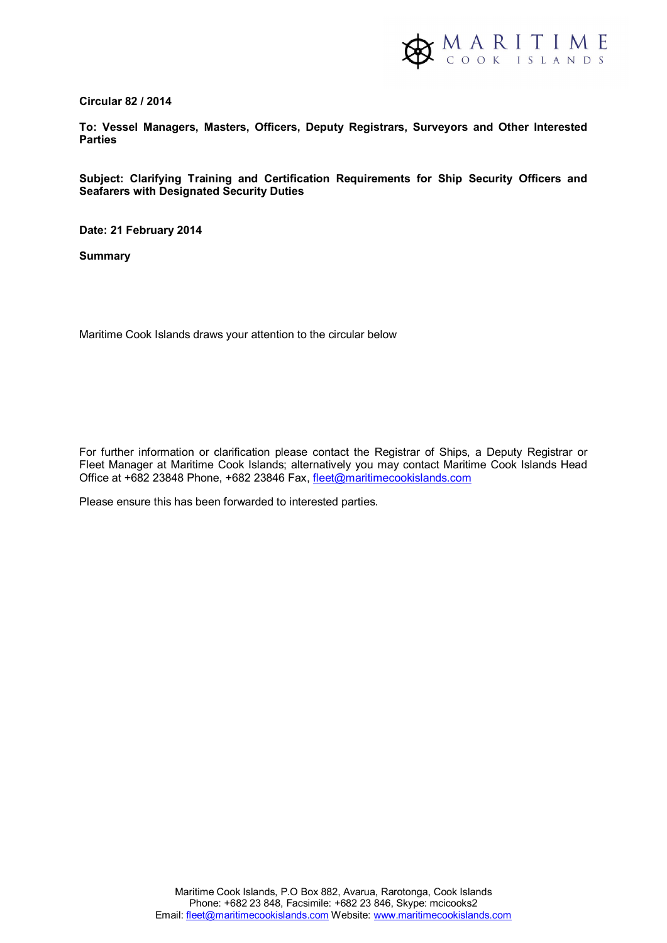

**Circular 82 / 2014**

**To: Vessel Managers, Masters, Officers, Deputy Registrars, Surveyors and Other Interested Parties** 

**Subject: Clarifying Training and Certification Requirements for Ship Security Officers and Seafarers with Designated Security Duties**

**Date: 21 February 2014** 

**Summary** 

Maritime Cook Islands draws your attention to the circular below

For further information or clarification please contact the Registrar of Ships, a Deputy Registrar or Fleet Manager at Maritime Cook Islands; alternatively you may contact Maritime Cook Islands Head Office at +682 23848 Phone, +682 23846 Fax, fleet@maritimecookislands.com

Please ensure this has been forwarded to interested parties.